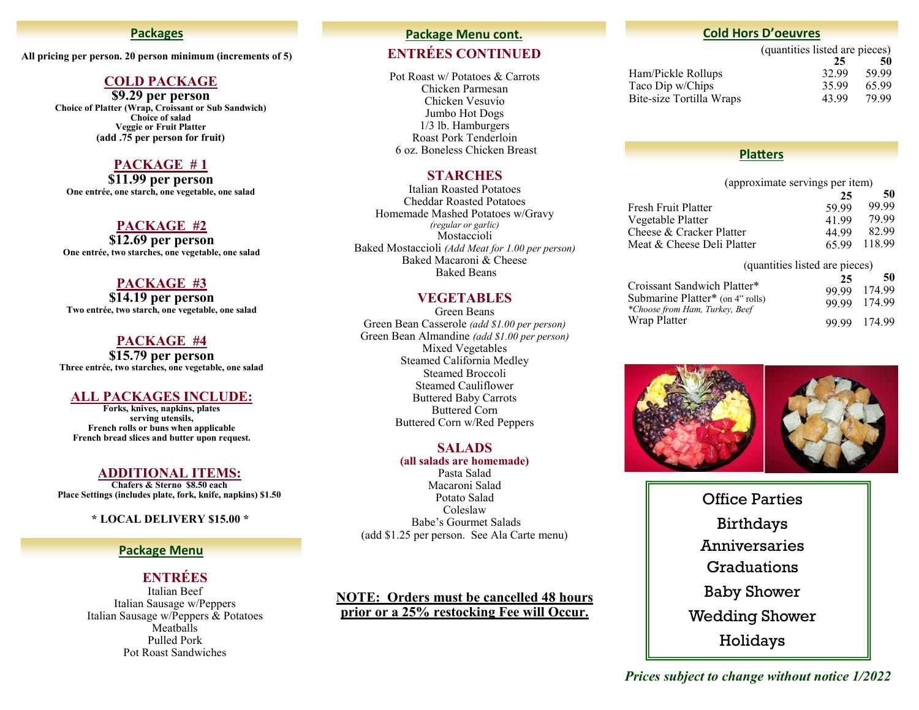#### **Packages**

**All pricing per person. 20 person minimum (increments of 5)**

#### **COLD PACKAGE**

**\$9.29 per person Choice of Platter (Wrap, Croissant or Sub Sandwich) Choice of salad Veggie or Fruit Platter (add .75 per person for fruit)**

#### **PACKAGE # 1**

**\$11.99 per person One entrée, one starch, one vegetable, one salad**

#### **PACKAGE #2**

**\$12.69 per person One entrée, two starches, one vegetable, one salad**

#### **PACKAGE #3**

**\$14.19 per person Two entrée, two starch, one vegetable, one salad**

#### **PACKAGE #4**

**\$15.79 per person Three entrée, two starches, one vegetable, one salad**

#### **ALL PACKAGES INCLUDE:**

**Forks, knives, napkins, plates serving utensils, French rolls or buns when applicable French bread slices and butter upon request.**

#### **ADDITIONAL ITEMS:**

**Chafers & Sterno \$8.50 each Place Settings (includes plate, fork, knife, napkins) \$1.50**

#### **\* LOCAL DELIVERY \$15.00 \***

#### **Package Menu**

# **ENTRÉES**

Italian Beef Italian Sausage w/Peppers Italian Sausage w/Peppers & Potatoes Meatballs Pulled Pork Pot Roast Sandwiches

#### **Package Menu cont.**

## **ENTRÉES CONTINUED**

Pot Roast w/ Potatoes & Carrots Chicken Parmesan Chicken Vesuvio Jumbo Hot Dogs 1/3 lb. Hamburgers Roast Pork Tenderloin 6 oz. Boneless Chicken Breast

#### **STARCHES**

Italian Roasted Potatoes Cheddar Roasted Potatoes Homemade Mashed Potatoes w/Gravy *(regular or garlic)* Mostaccioli Baked Mostaccioli *(Add Meat for 1.00 per person)* Baked Macaroni & Cheese Baked Beans

#### **VEGETABLES**

Green Beans Green Bean Casserole *(add \$1.00 per person)* Green Bean Almandine *(add \$1.00 per person)* Mixed Vegetables Steamed California Medley Steamed Broccoli Steamed Cauliflower Buttered Baby Carrots Buttered Corn Buttered Corn w/Red Peppers

#### **SALADS**

#### **(all salads are homemade)**

Pasta Salad Macaroni Salad Potato Salad Coleslaw Babe's Gourmet Salads (add \$1.25 per person. See Ala Carte menu)

#### **NOTE: Orders must be cancelled 48 hours prior or a 25% restocking Fee will Occur.**

#### **Cold Hors D'oeuvres**

(quantities listed are pieces) **25 50** Ham/Pickle Rollups 32.99 59.99 Taco Dip w/Chips 35.99 65.99

#### **Platters**

Bite-size Tortilla Wraps 43.99 79.99

| (approximate servings per item) |       |        |
|---------------------------------|-------|--------|
|                                 | 25    | 50     |
| Fresh Fruit Platter             | 59.99 | 99.99  |
| Vegetable Platter               | 41.99 | 79.99  |
| Cheese & Cracker Platter        | 44.99 | 82.99  |
| Meat & Cheese Deli Platter      | 65.99 | 118.99 |
| (quantities listed are pieces)  |       |        |

|                                                                    | 25    | 50           |
|--------------------------------------------------------------------|-------|--------------|
| Croissant Sandwich Platter*                                        | 99.99 | 174.99       |
| Submarine Platter* (on 4" rolls)<br>*Choose from Ham, Turkey, Beef |       | 99.99 174.99 |
| Wrap Platter                                                       |       | 99.99 174.99 |



Office Parties Birthdays Anniversaries **Graduations** Baby Shower Wedding Shower Holidays

*Prices subject to change without notice 1/2022*